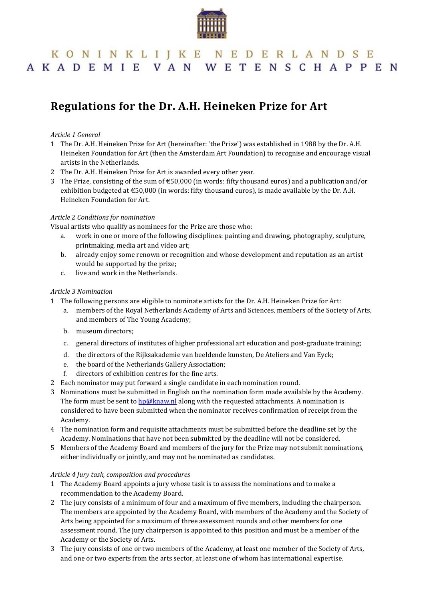

# KONINKLIJKE NEDERLANDSE AKADEMIE VAN WETENSCHAPPEN

# **Regulations for the Dr. A.H. Heineken Prize for Art**

### *Article 1 General*

- 1 The Dr. A.H. Heineken Prize for Art (hereinafter: 'the Prize') was established in 1988 by the Dr. A.H. Heineken Foundation for Art (then the Amsterdam Art Foundation) to recognise and encourage visual artists in the Netherlands.
- 2 The Dr. A.H. Heineken Prize for Art is awarded every other year.
- 3 The Prize, consisting of the sum of  $\epsilon$ 50,000 (in words: fifty thousand euros) and a publication and/or exhibition budgeted at  $\epsilon$ 50,000 (in words: fifty thousand euros), is made available by the Dr. A.H. Heineken Foundation for Art.

#### *Article 2 Conditions for nomination*

Visual artists who qualify as nominees for the Prize are those who:

- a. work in one or more of the following disciplines: painting and drawing, photography, sculpture, printmaking, media art and video art;
- b. already enjoy some renown or recognition and whose development and reputation as an artist would be supported by the prize;
- c. live and work in the Netherlands.

#### *Article 3 Nomination*

- 1 The following persons are eligible to nominate artists for the Dr. A.H. Heineken Prize for Art:
	- a. members of the Royal Netherlands Academy of Arts and Sciences, members of the Society of Arts, and members of The Young Academy;
	- b. museum directors;
	- c. general directors of institutes of higher professional art education and post-graduate training;
	- d. the directors of the Rijksakademie van beeldende kunsten, De Ateliers and Van Eyck;
	- e. the board of the Netherlands Gallery Association;
	- f. directors of exhibition centres for the fine arts.
- 2 Each nominator may put forward a single candidate in each nomination round.
- 3 Nominations must be submitted in English on the nomination form made available by the Academy. The form must be sent to **hp@knaw.nl** along with the requested attachments. A nomination is considered to have been submitted when the nominator receives confirmation of receipt from the Academy.
- 4 The nomination form and requisite attachments must be submitted before the deadline set by the Academy. Nominations that have not been submitted by the deadline will not be considered.
- 5 Members of the Academy Board and members of the jury for the Prize may not submit nominations, either individually or jointly, and may not be nominated as candidates.

#### *Article 4 Jury task, composition and procedures*

- 1 The Academy Board appoints a jury whose task is to assess the nominations and to make a recommendation to the Academy Board.
- 2 The jury consists of a minimum of four and a maximum of five members, including the chairperson. The members are appointed by the Academy Board, with members of the Academy and the Society of Arts being appointed for a maximum of three assessment rounds and other members for one assessment round. The jury chairperson is appointed to this position and must be a member of the Academy or the Society of Arts.
- 3 The jury consists of one or two members of the Academy, at least one member of the Society of Arts, and one or two experts from the arts sector, at least one of whom has international expertise.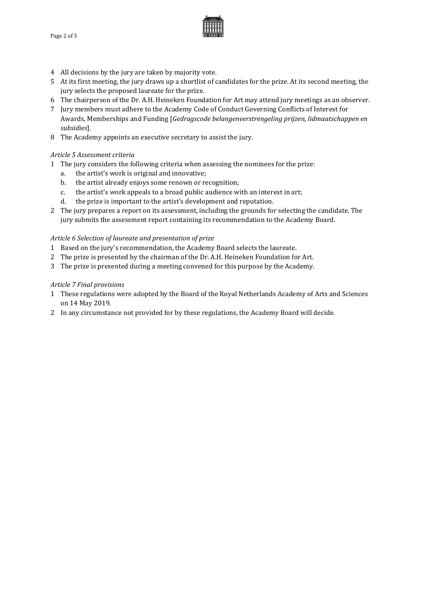

- 4 All decisions by the jury are taken by majority vote.
- 5 At its first meeting, the jury draws up a shortlist of candidates for the prize. At its second meeting, the jury selects the proposed laureate for the prize.
- 6 The chairperson of the Dr. A.H. Heineken Foundation for Art may attend jury meetings as an observer.
- 7 Jury members must adhere to the Academy Code of Conduct Governing Conflicts of Interest for Awards, Memberships and Funding [*Gedragscode belangenverstrengeling prijzen, lidmaatschappen en subsidies*].
- 8 The Academy appoints an executive secretary to assist the jury.

#### *Article 5 Assessment criteria*

- 1 The jury considers the following criteria when assessing the nominees for the prize:
	- a. the artist's work is original and innovative;
	- b. the artist already enjoys some renown or recognition;
	- c. the artist's work appeals to a broad public audience with an interest in art;<br>d. the prize is important to the artist's development and reputation.
	- the prize is important to the artist's development and reputation.
- 2 The jury prepares a report on its assessment, including the grounds for selecting the candidate. The jury submits the assessment report containing its recommendation to the Academy Board.

#### *Article 6 Selection of laureate and presentation of prize*

- 1 Based on the jury's recommendation, the Academy Board selects the laureate.
- 2 The prize is presented by the chairman of the Dr. A.H. Heineken Foundation for Art.
- 3 The prize is presented during a meeting convened for this purpose by the Academy.

#### *Article 7 Final provisions*

- 1 These regulations were adopted by the Board of the Royal Netherlands Academy of Arts and Sciences on 14 May 2019.
- 2 In any circumstance not provided for by these regulations, the Academy Board will decide.